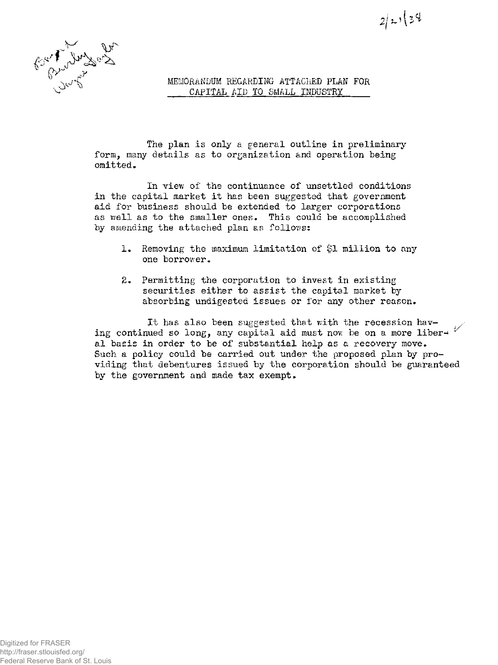

MEMORANDUM REGARDING ATTACHED PLAN FOR

 $2/x!(34)$ 

The plan is only a general outline in preliminary form, many details as to organization and operation being omitted.

In view of the continuance of unsettled conditions in the capital market it has been suggested that government aid for business should be extended to larger corporations as well as to the smaller ones. This could be accomplished by amending the attached plan as follows:

- 1. Removing the maximum limitation of \$1 million to any one borrower.
- 2. Permitting the corporation to invest in existing securities either to assist the capital market by absorbing undigested issues or for any other reason.

It has also been suggested that with the recession having continued so long, any capital aid must now be on a more liber- $\mathscr{C}$ al basis in order to be of substantial help as a recovery move. Such a policy could be carried out under the proposed plan by providing that debentures issued by the corporation should be guaranteed by the government and made tax exempt.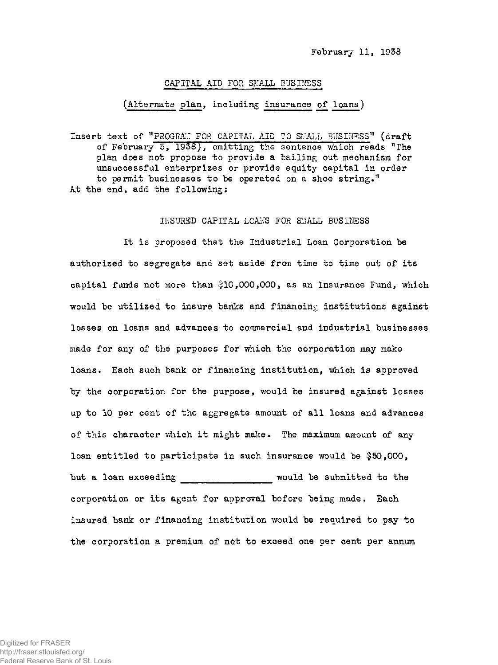## CAPITAL AID FOR SMALL BUSINESS

## (Alternate plan, including insurance of loans)

Insert text of "PROGRAM FOR CAPITAL AID TO SMALL BUSINESS" (draft of February 5, 1938), omitting the sentence which reads "The plan does not propose to provide a bailing out mechanism for unsuccessful enterprises or provide equity capital in order to permit businesses to be operated on a shoe string." At the end, add the following:

## INSURED CAPITAL LOANS FOR SMALL BUSINESS

It is proposed that the Industrial Loan Corporation be authorized to segregate and set aside from time to time out of its capital funds not more than \$10,000,000, as an Insurance Fund, which would be utilized to insure banks and financing institutions against losses on loans and advances to commercial and industrial businesses made for any of the purposes for which the corporation may make loans. Each such bank or financing institution, which is approved by the corporation for the purpose, would be insured against losses up to 10 per cent of the aggregate amount of all loans and advances of this character which it might make. The maximum amount of any loan entitled to participate in such insurance would be \$50,000, but a loan exceeding The Submitted to the corporation or its agent for approval before being made. Each insured bank or financing institution would be required to pay to the corporation a premium of not to exceed one per cent per annum